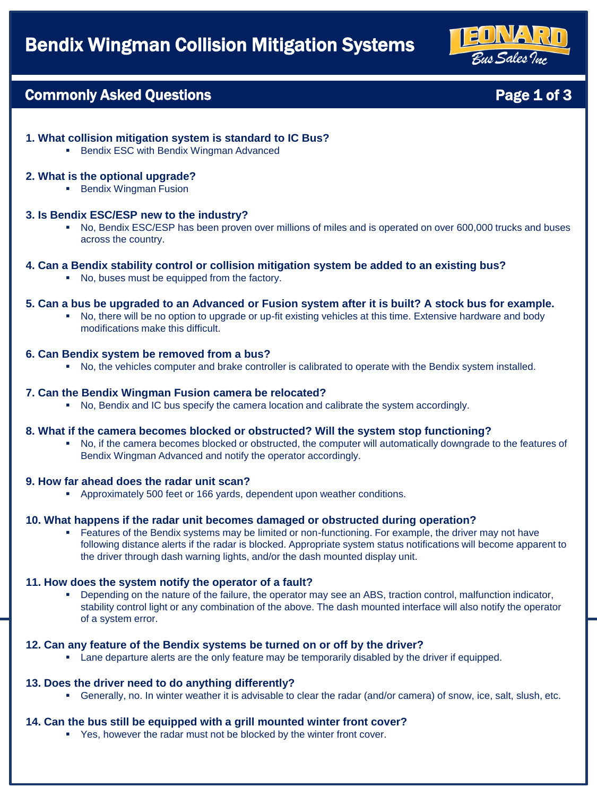

Page 1 of 3

# Commonly Asked Questions

# **1. What collision mitigation system is standard to IC Bus?**

■ Bendix ESC with Bendix Wingman Advanced

### **2. What is the optional upgrade?**

■ Bendix Wingman Fusion

### **3. Is Bendix ESC/ESP new to the industry?**

▪ No, Bendix ESC/ESP has been proven over millions of miles and is operated on over 600,000 trucks and buses across the country.

### **4. Can a Bendix stability control or collision mitigation system be added to an existing bus?**

■ No, buses must be equipped from the factory.

### **5. Can a bus be upgraded to an Advanced or Fusion system after it is built? A stock bus for example.**

No, there will be no option to upgrade or up-fit existing vehicles at this time. Extensive hardware and body modifications make this difficult.

### **6. Can Bendix system be removed from a bus?**

▪ No, the vehicles computer and brake controller is calibrated to operate with the Bendix system installed.

### **7. Can the Bendix Wingman Fusion camera be relocated?**

▪ No, Bendix and IC bus specify the camera location and calibrate the system accordingly.

### **8. What if the camera becomes blocked or obstructed? Will the system stop functioning?**

▪ No, if the camera becomes blocked or obstructed, the computer will automatically downgrade to the features of Bendix Wingman Advanced and notify the operator accordingly.

### **9. How far ahead does the radar unit scan?**

▪ Approximately 500 feet or 166 yards, dependent upon weather conditions.

### **10. What happens if the radar unit becomes damaged or obstructed during operation?**

**• Features of the Bendix systems may be limited or non-functioning. For example, the driver may not have** following distance alerts if the radar is blocked. Appropriate system status notifications will become apparent to the driver through dash warning lights, and/or the dash mounted display unit.

### **11. How does the system notify the operator of a fault?**

▪ Depending on the nature of the failure, the operator may see an ABS, traction control, malfunction indicator, stability control light or any combination of the above. The dash mounted interface will also notify the operator of a system error.

### **12. Can any feature of the Bendix systems be turned on or off by the driver?**

**• Lane departure alerts are the only feature may be temporarily disabled by the driver if equipped.** 

### **13. Does the driver need to do anything differently?**

▪ Generally, no. In winter weather it is advisable to clear the radar (and/or camera) of snow, ice, salt, slush, etc.

### **14. Can the bus still be equipped with a grill mounted winter front cover?**

▪ Yes, however the radar must not be blocked by the winter front cover.